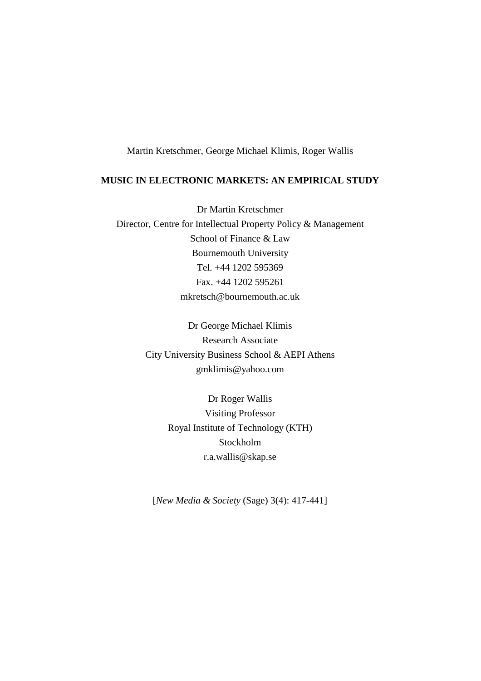Martin Kretschmer, George Michael Klimis, Roger Wallis

## **MUSIC IN ELECTRONIC MARKETS: AN EMPIRICAL STUDY**

Dr Martin Kretschmer Director, Centre for Intellectual Property Policy & Management School of Finance & Law Bournemouth University Tel. +44 1202 595369 Fax. +44 1202 595261 mkretsch@bournemouth.ac.uk

> Dr George Michael Klimis Research Associate City University Business School & AEPI Athens gmklimis@yahoo.com

> > Dr Roger Wallis Visiting Professor Royal Institute of Technology (KTH) Stockholm r.a.wallis@skap.se

[*New Media & Society* (Sage) 3(4): 417-441]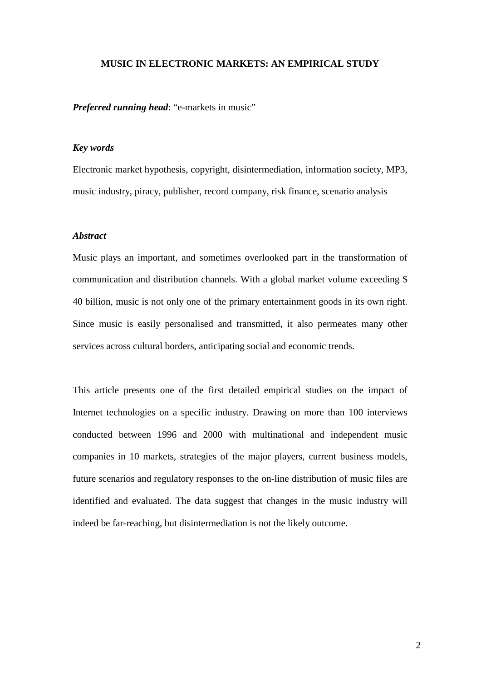#### **MUSIC IN ELECTRONIC MARKETS: AN EMPIRICAL STUDY**

*Preferred running head*: "e-markets in music"

## *Key words*

Electronic market hypothesis, copyright, disintermediation, information society, MP3, music industry, piracy, publisher, record company, risk finance, scenario analysis

## *Abstract*

Music plays an important, and sometimes overlooked part in the transformation of communication and distribution channels. With a global market volume exceeding \$ 40 billion, music is not only one of the primary entertainment goods in its own right. Since music is easily personalised and transmitted, it also permeates many other services across cultural borders, anticipating social and economic trends.

This article presents one of the first detailed empirical studies on the impact of Internet technologies on a specific industry. Drawing on more than 100 interviews conducted between 1996 and 2000 with multinational and independent music companies in 10 markets, strategies of the major players, current business models, future scenarios and regulatory responses to the on-line distribution of music files are identified and evaluated. The data suggest that changes in the music industry will indeed be far-reaching, but disintermediation is not the likely outcome.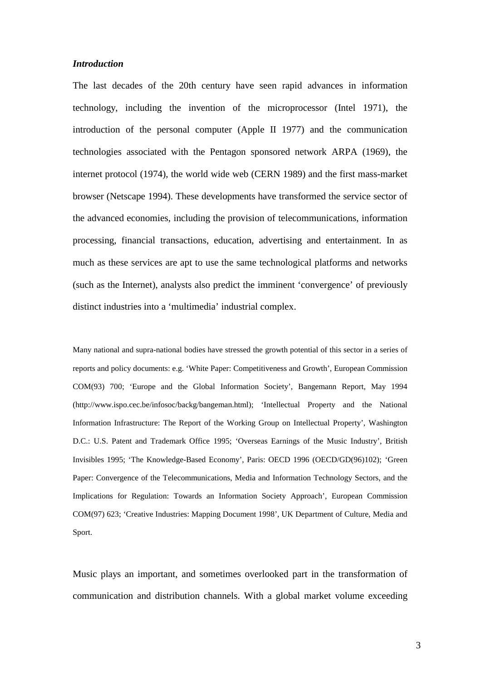### *Introduction*

The last decades of the 20th century have seen rapid advances in information technology, including the invention of the microprocessor (Intel 1971), the introduction of the personal computer (Apple II 1977) and the communication technologies associated with the Pentagon sponsored network ARPA (1969), the internet protocol (1974), the world wide web (CERN 1989) and the first mass-market browser (Netscape 1994). These developments have transformed the service sector of the advanced economies, including the provision of telecommunications, information processing, financial transactions, education, advertising and entertainment. In as much as these services are apt to use the same technological platforms and networks (such as the Internet), analysts also predict the imminent 'convergence' of previously distinct industries into a 'multimedia' industrial complex.

Many national and supra-national bodies have stressed the growth potential of this sector in a series of reports and policy documents: e.g. 'White Paper: Competitiveness and Growth', European Commission COM(93) 700; 'Europe and the Global Information Society', Bangemann Report, May 1994 (http://www.ispo.cec.be/infosoc/backg/bangeman.html); 'Intellectual Property and the National Information Infrastructure: The Report of the Working Group on Intellectual Property', Washington D.C.: U.S. Patent and Trademark Office 1995; 'Overseas Earnings of the Music Industry', British Invisibles 1995; 'The Knowledge-Based Economy', Paris: OECD 1996 (OECD/GD(96)102); 'Green Paper: Convergence of the Telecommunications, Media and Information Technology Sectors, and the Implications for Regulation: Towards an Information Society Approach', European Commission COM(97) 623; 'Creative Industries: Mapping Document 1998', UK Department of Culture, Media and Sport.

Music plays an important, and sometimes overlooked part in the transformation of communication and distribution channels. With a global market volume exceeding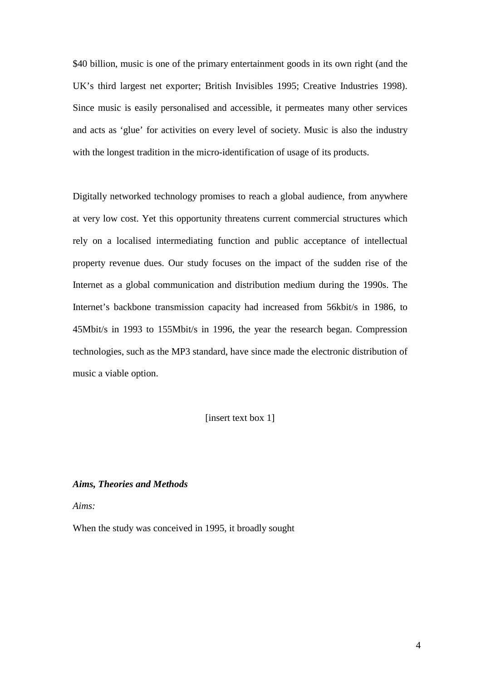\$40 billion, music is one of the primary entertainment goods in its own right (and the UK's third largest net exporter; British Invisibles 1995; Creative Industries 1998). Since music is easily personalised and accessible, it permeates many other services and acts as 'glue' for activities on every level of society. Music is also the industry with the longest tradition in the micro-identification of usage of its products.

Digitally networked technology promises to reach a global audience, from anywhere at very low cost. Yet this opportunity threatens current commercial structures which rely on a localised intermediating function and public acceptance of intellectual property revenue dues. Our study focuses on the impact of the sudden rise of the Internet as a global communication and distribution medium during the 1990s. The Internet's backbone transmission capacity had increased from 56kbit/s in 1986, to 45Mbit/s in 1993 to 155Mbit/s in 1996, the year the research began. Compression technologies, such as the MP3 standard, have since made the electronic distribution of music a viable option.

[insert text box 1]

## *Aims, Theories and Methods*

*Aims:*

When the study was conceived in 1995, it broadly sought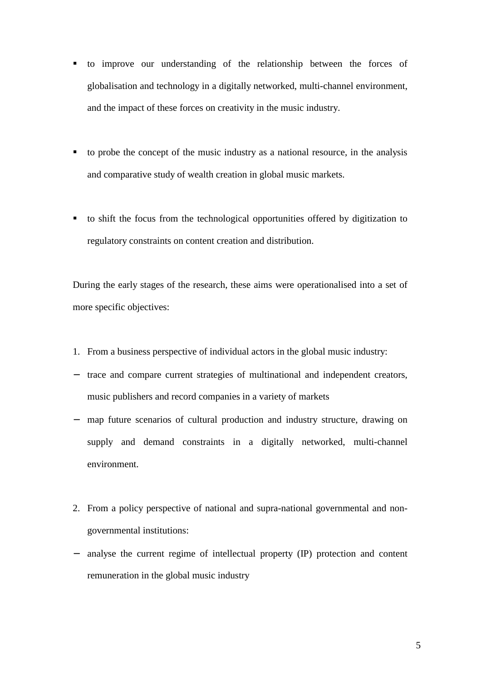- ! to improve our understanding of the relationship between the forces of globalisation and technology in a digitally networked, multi-channel environment, and the impact of these forces on creativity in the music industry.
- ! to probe the concept of the music industry as a national resource, in the analysis and comparative study of wealth creation in global music markets.
- ! to shift the focus from the technological opportunities offered by digitization to regulatory constraints on content creation and distribution.

During the early stages of the research, these aims were operationalised into a set of more specific objectives:

- 1. From a business perspective of individual actors in the global music industry:
- − trace and compare current strategies of multinational and independent creators, music publishers and record companies in a variety of markets
- − map future scenarios of cultural production and industry structure, drawing on supply and demand constraints in a digitally networked, multi-channel environment.
- 2. From a policy perspective of national and supra-national governmental and nongovernmental institutions:
- − analyse the current regime of intellectual property (IP) protection and content remuneration in the global music industry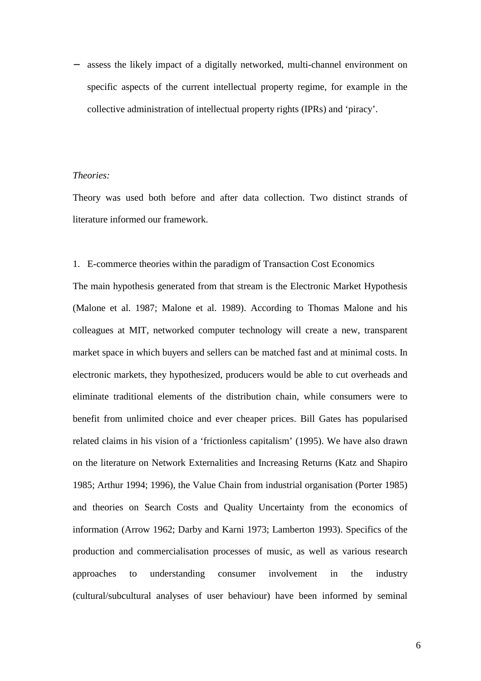− assess the likely impact of a digitally networked, multi-channel environment on specific aspects of the current intellectual property regime, for example in the collective administration of intellectual property rights (IPRs) and 'piracy'.

### *Theories:*

Theory was used both before and after data collection. Two distinct strands of literature informed our framework.

## 1. E-commerce theories within the paradigm of Transaction Cost Economics

The main hypothesis generated from that stream is the Electronic Market Hypothesis (Malone et al. 1987; Malone et al. 1989). According to Thomas Malone and his colleagues at MIT, networked computer technology will create a new, transparent market space in which buyers and sellers can be matched fast and at minimal costs. In electronic markets, they hypothesized, producers would be able to cut overheads and eliminate traditional elements of the distribution chain, while consumers were to benefit from unlimited choice and ever cheaper prices. Bill Gates has popularised related claims in his vision of a 'frictionless capitalism' (1995). We have also drawn on the literature on Network Externalities and Increasing Returns (Katz and Shapiro 1985; Arthur 1994; 1996), the Value Chain from industrial organisation (Porter 1985) and theories on Search Costs and Quality Uncertainty from the economics of information (Arrow 1962; Darby and Karni 1973; Lamberton 1993). Specifics of the production and commercialisation processes of music, as well as various research approaches to understanding consumer involvement in the industry (cultural/subcultural analyses of user behaviour) have been informed by seminal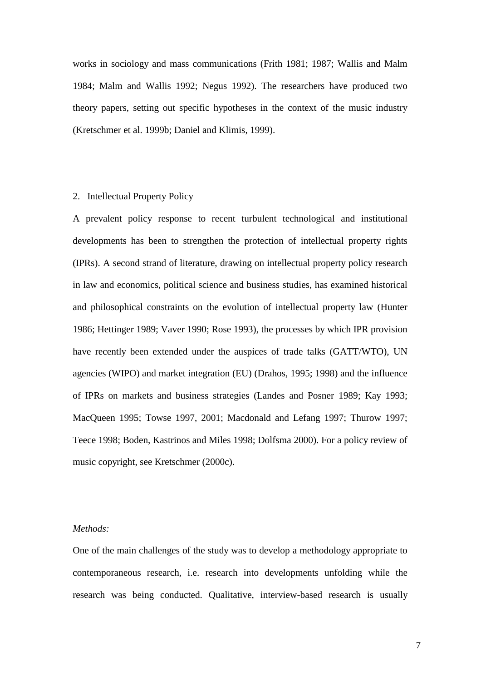works in sociology and mass communications (Frith 1981; 1987; Wallis and Malm 1984; Malm and Wallis 1992; Negus 1992). The researchers have produced two theory papers, setting out specific hypotheses in the context of the music industry (Kretschmer et al. 1999b; Daniel and Klimis, 1999).

## 2. Intellectual Property Policy

A prevalent policy response to recent turbulent technological and institutional developments has been to strengthen the protection of intellectual property rights (IPRs). A second strand of literature, drawing on intellectual property policy research in law and economics, political science and business studies, has examined historical and philosophical constraints on the evolution of intellectual property law (Hunter 1986; Hettinger 1989; Vaver 1990; Rose 1993), the processes by which IPR provision have recently been extended under the auspices of trade talks (GATT/WTO), UN agencies (WIPO) and market integration (EU) (Drahos, 1995; 1998) and the influence of IPRs on markets and business strategies (Landes and Posner 1989; Kay 1993; MacQueen 1995; Towse 1997, 2001; Macdonald and Lefang 1997; Thurow 1997; Teece 1998; Boden, Kastrinos and Miles 1998; Dolfsma 2000). For a policy review of music copyright, see Kretschmer (2000c).

## *Methods:*

One of the main challenges of the study was to develop a methodology appropriate to contemporaneous research, i.e. research into developments unfolding while the research was being conducted. Qualitative, interview-based research is usually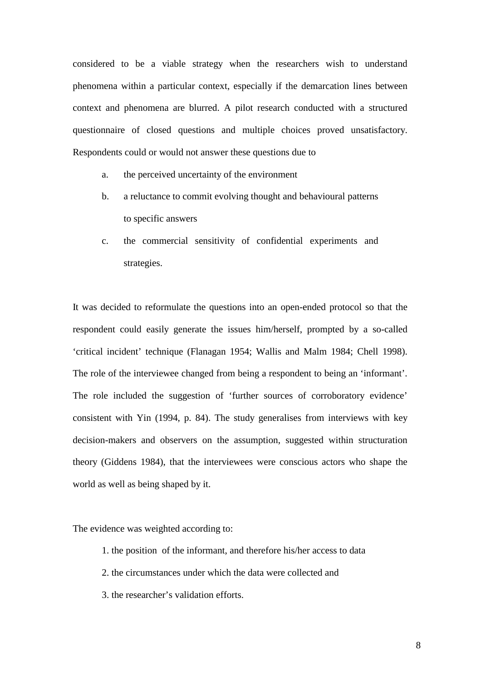considered to be a viable strategy when the researchers wish to understand phenomena within a particular context, especially if the demarcation lines between context and phenomena are blurred. A pilot research conducted with a structured questionnaire of closed questions and multiple choices proved unsatisfactory. Respondents could or would not answer these questions due to

- a. the perceived uncertainty of the environment
- b. a reluctance to commit evolving thought and behavioural patterns to specific answers
- c. the commercial sensitivity of confidential experiments and strategies.

It was decided to reformulate the questions into an open-ended protocol so that the respondent could easily generate the issues him/herself, prompted by a so-called 'critical incident' technique (Flanagan 1954; Wallis and Malm 1984; Chell 1998). The role of the interviewee changed from being a respondent to being an 'informant'. The role included the suggestion of 'further sources of corroboratory evidence' consistent with Yin (1994, p. 84). The study generalises from interviews with key decision-makers and observers on the assumption, suggested within structuration theory (Giddens 1984), that the interviewees were conscious actors who shape the world as well as being shaped by it.

The evidence was weighted according to:

- 1. the position of the informant, and therefore his/her access to data
- 2. the circumstances under which the data were collected and
- 3. the researcher's validation efforts.

8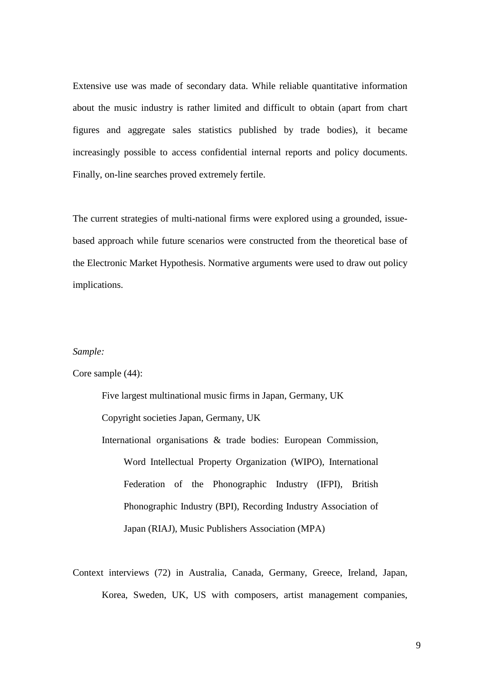Extensive use was made of secondary data. While reliable quantitative information about the music industry is rather limited and difficult to obtain (apart from chart figures and aggregate sales statistics published by trade bodies), it became increasingly possible to access confidential internal reports and policy documents. Finally, on-line searches proved extremely fertile.

The current strategies of multi-national firms were explored using a grounded, issuebased approach while future scenarios were constructed from the theoretical base of the Electronic Market Hypothesis. Normative arguments were used to draw out policy implications.

#### *Sample:*

Core sample (44):

Five largest multinational music firms in Japan, Germany, UK Copyright societies Japan, Germany, UK

International organisations & trade bodies: European Commission, Word Intellectual Property Organization (WIPO), International Federation of the Phonographic Industry (IFPI), British Phonographic Industry (BPI), Recording Industry Association of Japan (RIAJ), Music Publishers Association (MPA)

Context interviews (72) in Australia, Canada, Germany, Greece, Ireland, Japan, Korea, Sweden, UK, US with composers, artist management companies,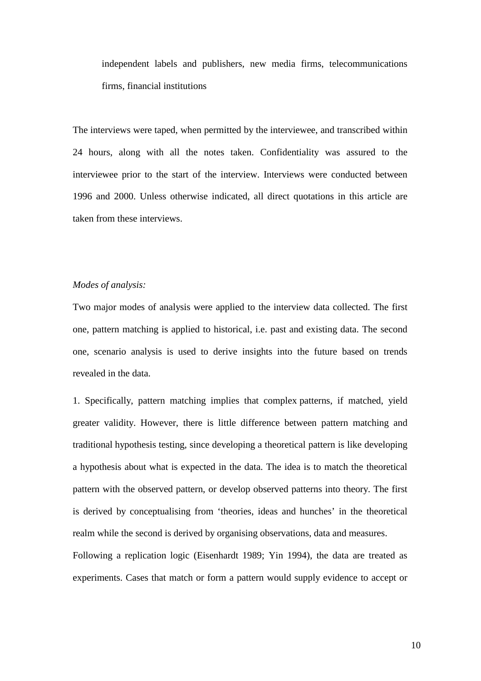independent labels and publishers, new media firms, telecommunications firms, financial institutions

The interviews were taped, when permitted by the interviewee, and transcribed within 24 hours, along with all the notes taken. Confidentiality was assured to the interviewee prior to the start of the interview. Interviews were conducted between 1996 and 2000. Unless otherwise indicated, all direct quotations in this article are taken from these interviews.

## *Modes of analysis:*

Two major modes of analysis were applied to the interview data collected. The first one, pattern matching is applied to historical, i.e. past and existing data. The second one, scenario analysis is used to derive insights into the future based on trends revealed in the data.

1. Specifically, pattern matching implies that complex patterns, if matched, yield greater validity. However, there is little difference between pattern matching and traditional hypothesis testing, since developing a theoretical pattern is like developing a hypothesis about what is expected in the data. The idea is to match the theoretical pattern with the observed pattern, or develop observed patterns into theory. The first is derived by conceptualising from 'theories, ideas and hunches' in the theoretical realm while the second is derived by organising observations, data and measures. Following a replication logic (Eisenhardt 1989; Yin 1994), the data are treated as experiments. Cases that match or form a pattern would supply evidence to accept or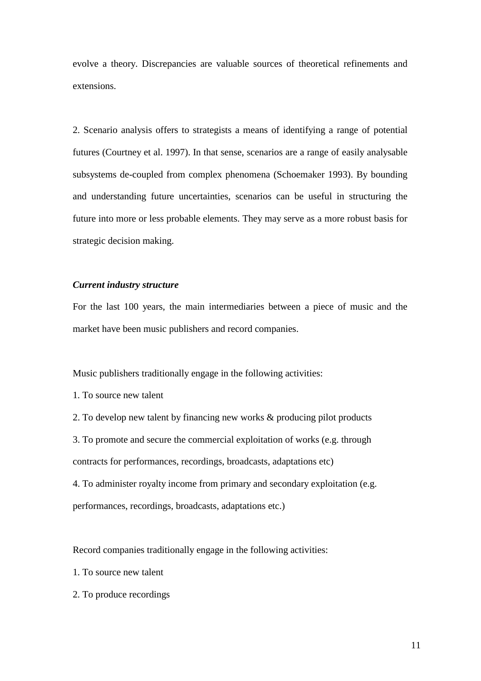evolve a theory. Discrepancies are valuable sources of theoretical refinements and extensions.

2. Scenario analysis offers to strategists a means of identifying a range of potential futures (Courtney et al. 1997). In that sense, scenarios are a range of easily analysable subsystems de-coupled from complex phenomena (Schoemaker 1993). By bounding and understanding future uncertainties, scenarios can be useful in structuring the future into more or less probable elements. They may serve as a more robust basis for strategic decision making.

## *Current industry structure*

For the last 100 years, the main intermediaries between a piece of music and the market have been music publishers and record companies.

Music publishers traditionally engage in the following activities:

1. To source new talent

2. To develop new talent by financing new works & producing pilot products

3. To promote and secure the commercial exploitation of works (e.g. through

contracts for performances, recordings, broadcasts, adaptations etc)

4. To administer royalty income from primary and secondary exploitation (e.g. performances, recordings, broadcasts, adaptations etc.)

Record companies traditionally engage in the following activities:

- 1. To source new talent
- 2. To produce recordings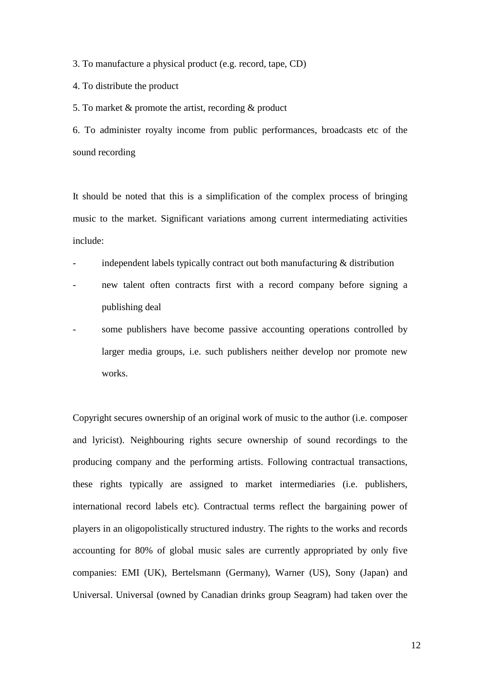3. To manufacture a physical product (e.g. record, tape, CD)

4. To distribute the product

5. To market & promote the artist, recording & product

6. To administer royalty income from public performances, broadcasts etc of the sound recording

It should be noted that this is a simplification of the complex process of bringing music to the market. Significant variations among current intermediating activities include:

- independent labels typically contract out both manufacturing  $\&$  distribution
- new talent often contracts first with a record company before signing a publishing deal
- some publishers have become passive accounting operations controlled by larger media groups, i.e. such publishers neither develop nor promote new works.

Copyright secures ownership of an original work of music to the author (i.e. composer and lyricist). Neighbouring rights secure ownership of sound recordings to the producing company and the performing artists. Following contractual transactions, these rights typically are assigned to market intermediaries (i.e. publishers, international record labels etc). Contractual terms reflect the bargaining power of players in an oligopolistically structured industry. The rights to the works and records accounting for 80% of global music sales are currently appropriated by only five companies: EMI (UK), Bertelsmann (Germany), Warner (US), Sony (Japan) and Universal. Universal (owned by Canadian drinks group Seagram) had taken over the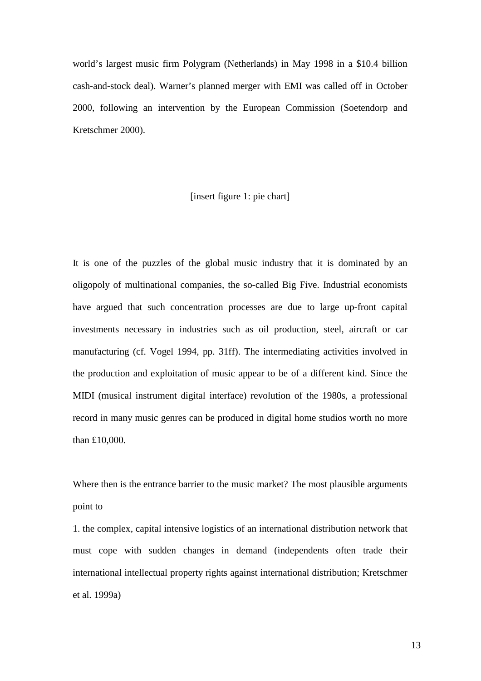world's largest music firm Polygram (Netherlands) in May 1998 in a \$10.4 billion cash-and-stock deal). Warner's planned merger with EMI was called off in October 2000, following an intervention by the European Commission (Soetendorp and Kretschmer 2000).

## [insert figure 1: pie chart]

It is one of the puzzles of the global music industry that it is dominated by an oligopoly of multinational companies, the so-called Big Five. Industrial economists have argued that such concentration processes are due to large up-front capital investments necessary in industries such as oil production, steel, aircraft or car manufacturing (cf. Vogel 1994, pp. 31ff). The intermediating activities involved in the production and exploitation of music appear to be of a different kind. Since the MIDI (musical instrument digital interface) revolution of the 1980s, a professional record in many music genres can be produced in digital home studios worth no more than £10,000.

Where then is the entrance barrier to the music market? The most plausible arguments point to

1. the complex, capital intensive logistics of an international distribution network that must cope with sudden changes in demand (independents often trade their international intellectual property rights against international distribution; Kretschmer et al. 1999a)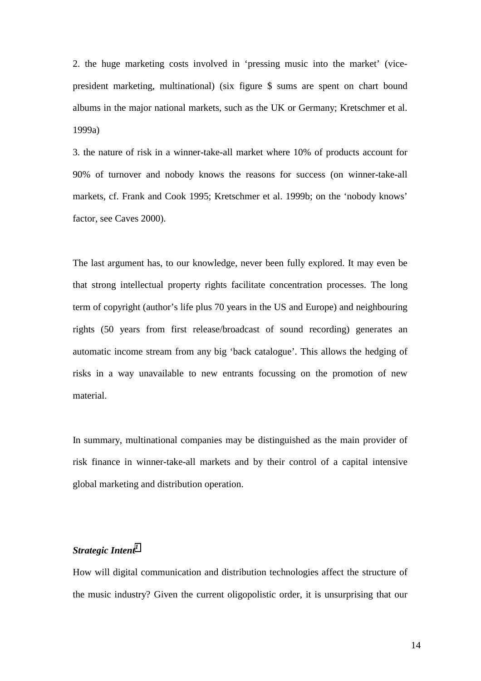2. the huge marketing costs involved in 'pressing music into the market' (vicepresident marketing, multinational) (six figure \$ sums are spent on chart bound albums in the major national markets, such as the UK or Germany; Kretschmer et al. 1999a)

3. the nature of risk in a winner-take-all market where 10% of products account for 90% of turnover and nobody knows the reasons for success (on winner-take-all markets, cf. Frank and Cook 1995; Kretschmer et al. 1999b; on the 'nobody knows' factor, see Caves 2000).

The last argument has, to our knowledge, never been fully explored. It may even be that strong intellectual property rights facilitate concentration processes. The long term of copyright (author's life plus 70 years in the US and Europe) and neighbouring rights (50 years from first release/broadcast of sound recording) generates an automatic income stream from any big 'back catalogue'. This allows the hedging of risks in a way unavailable to new entrants focussing on the promotion of new material.

In summary, multinational companies may be distinguished as the main provider of risk finance in winner-take-all markets and by their control of a capital intensive global marketing and distribution operation.

## *Strategic Intent[1](#page-31-0)*

How will digital communication and distribution technologies affect the structure of the music industry? Given the current oligopolistic order, it is unsurprising that our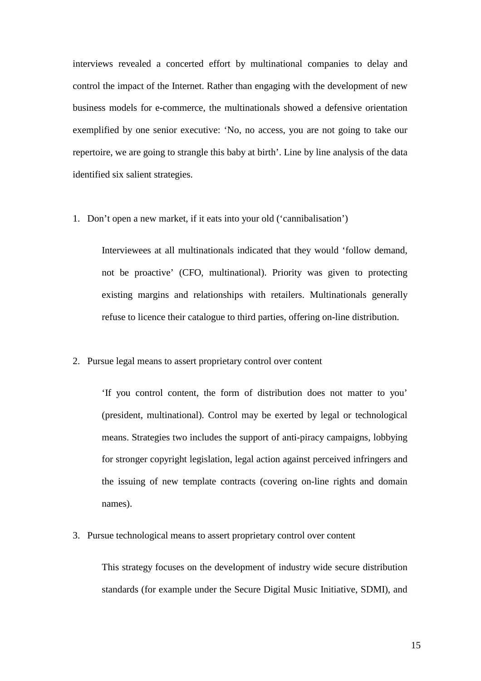interviews revealed a concerted effort by multinational companies to delay and control the impact of the Internet. Rather than engaging with the development of new business models for e-commerce, the multinationals showed a defensive orientation exemplified by one senior executive: 'No, no access, you are not going to take our repertoire, we are going to strangle this baby at birth'. Line by line analysis of the data identified six salient strategies.

1. Don't open a new market, if it eats into your old ('cannibalisation')

Interviewees at all multinationals indicated that they would 'follow demand, not be proactive' (CFO, multinational). Priority was given to protecting existing margins and relationships with retailers. Multinationals generally refuse to licence their catalogue to third parties, offering on-line distribution.

2. Pursue legal means to assert proprietary control over content

'If you control content, the form of distribution does not matter to you' (president, multinational). Control may be exerted by legal or technological means. Strategies two includes the support of anti-piracy campaigns, lobbying for stronger copyright legislation, legal action against perceived infringers and the issuing of new template contracts (covering on-line rights and domain names).

3. Pursue technological means to assert proprietary control over content

This strategy focuses on the development of industry wide secure distribution standards (for example under the Secure Digital Music Initiative, SDMI), and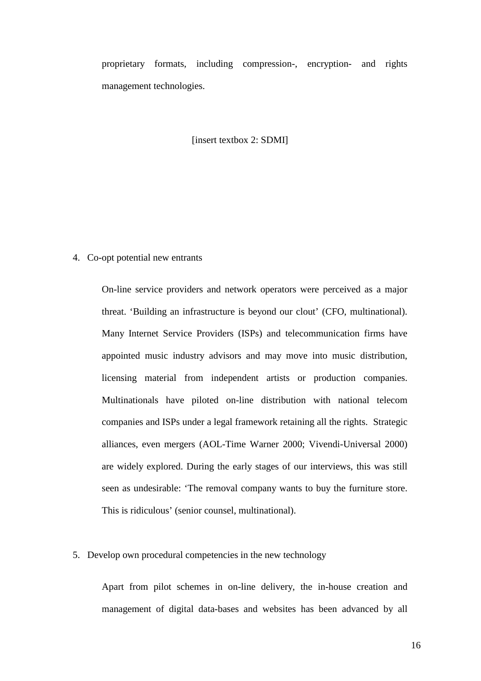proprietary formats, including compression-, encryption- and rights management technologies.

[insert textbox 2: SDMI]

## 4. Co-opt potential new entrants

On-line service providers and network operators were perceived as a major threat. 'Building an infrastructure is beyond our clout' (CFO, multinational). Many Internet Service Providers (ISPs) and telecommunication firms have appointed music industry advisors and may move into music distribution, licensing material from independent artists or production companies. Multinationals have piloted on-line distribution with national telecom companies and ISPs under a legal framework retaining all the rights. Strategic alliances, even mergers (AOL-Time Warner 2000; Vivendi-Universal 2000) are widely explored. During the early stages of our interviews, this was still seen as undesirable: 'The removal company wants to buy the furniture store. This is ridiculous' (senior counsel, multinational).

## 5. Develop own procedural competencies in the new technology

Apart from pilot schemes in on-line delivery, the in-house creation and management of digital data-bases and websites has been advanced by all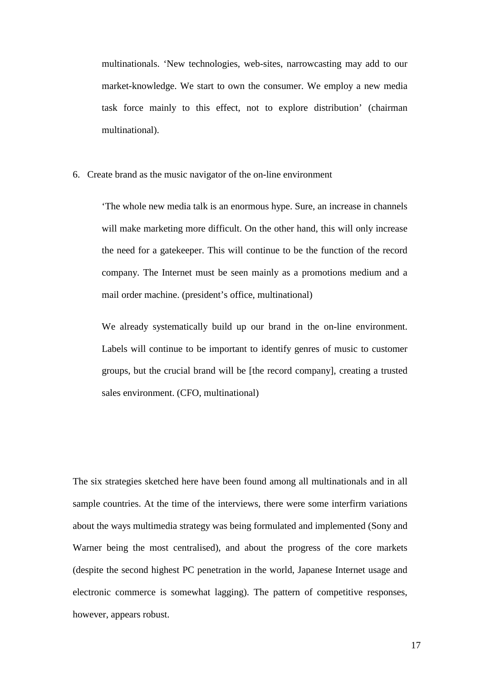multinationals. 'New technologies, web-sites, narrowcasting may add to our market-knowledge. We start to own the consumer. We employ a new media task force mainly to this effect, not to explore distribution' (chairman multinational).

#### 6. Create brand as the music navigator of the on-line environment

'The whole new media talk is an enormous hype. Sure, an increase in channels will make marketing more difficult. On the other hand, this will only increase the need for a gatekeeper. This will continue to be the function of the record company. The Internet must be seen mainly as a promotions medium and a mail order machine. (president's office, multinational)

We already systematically build up our brand in the on-line environment. Labels will continue to be important to identify genres of music to customer groups, but the crucial brand will be [the record company], creating a trusted sales environment. (CFO, multinational)

The six strategies sketched here have been found among all multinationals and in all sample countries. At the time of the interviews, there were some interfirm variations about the ways multimedia strategy was being formulated and implemented (Sony and Warner being the most centralised), and about the progress of the core markets (despite the second highest PC penetration in the world, Japanese Internet usage and electronic commerce is somewhat lagging). The pattern of competitive responses, however, appears robust.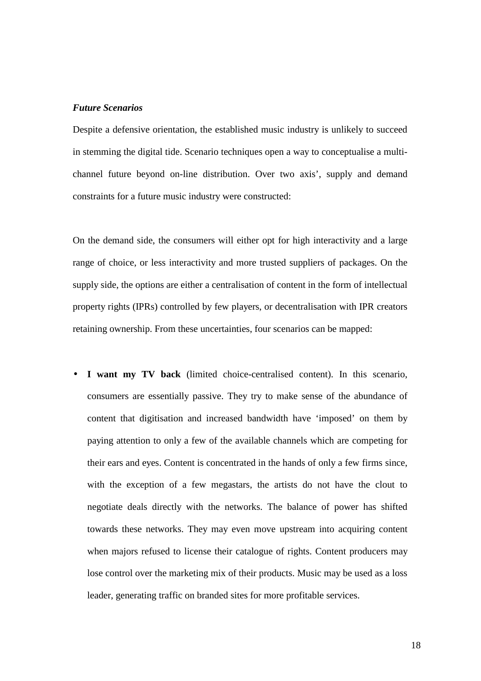## *Future Scenarios*

Despite a defensive orientation, the established music industry is unlikely to succeed in stemming the digital tide. Scenario techniques open a way to conceptualise a multichannel future beyond on-line distribution. Over two axis', supply and demand constraints for a future music industry were constructed:

On the demand side, the consumers will either opt for high interactivity and a large range of choice, or less interactivity and more trusted suppliers of packages. On the supply side, the options are either a centralisation of content in the form of intellectual property rights (IPRs) controlled by few players, or decentralisation with IPR creators retaining ownership. From these uncertainties, four scenarios can be mapped:

• **I want my TV back** (limited choice-centralised content). In this scenario, consumers are essentially passive. They try to make sense of the abundance of content that digitisation and increased bandwidth have 'imposed' on them by paying attention to only a few of the available channels which are competing for their ears and eyes. Content is concentrated in the hands of only a few firms since, with the exception of a few megastars, the artists do not have the clout to negotiate deals directly with the networks. The balance of power has shifted towards these networks. They may even move upstream into acquiring content when majors refused to license their catalogue of rights. Content producers may lose control over the marketing mix of their products. Music may be used as a loss leader, generating traffic on branded sites for more profitable services.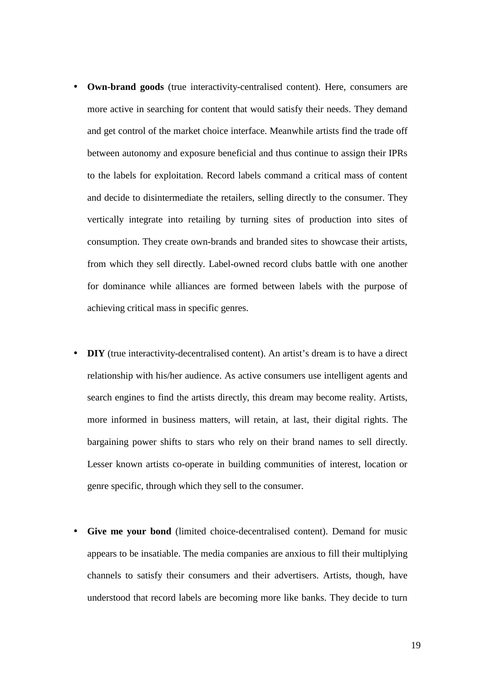- **Own-brand goods** (true interactivity-centralised content). Here, consumers are more active in searching for content that would satisfy their needs. They demand and get control of the market choice interface. Meanwhile artists find the trade off between autonomy and exposure beneficial and thus continue to assign their IPRs to the labels for exploitation. Record labels command a critical mass of content and decide to disintermediate the retailers, selling directly to the consumer. They vertically integrate into retailing by turning sites of production into sites of consumption. They create own-brands and branded sites to showcase their artists, from which they sell directly. Label-owned record clubs battle with one another for dominance while alliances are formed between labels with the purpose of achieving critical mass in specific genres.
- **DIY** (true interactivity-decentralised content). An artist's dream is to have a direct relationship with his/her audience. As active consumers use intelligent agents and search engines to find the artists directly, this dream may become reality. Artists, more informed in business matters, will retain, at last, their digital rights. The bargaining power shifts to stars who rely on their brand names to sell directly. Lesser known artists co-operate in building communities of interest, location or genre specific, through which they sell to the consumer.
- **Give me your bond** (limited choice-decentralised content). Demand for music appears to be insatiable. The media companies are anxious to fill their multiplying channels to satisfy their consumers and their advertisers. Artists, though, have understood that record labels are becoming more like banks. They decide to turn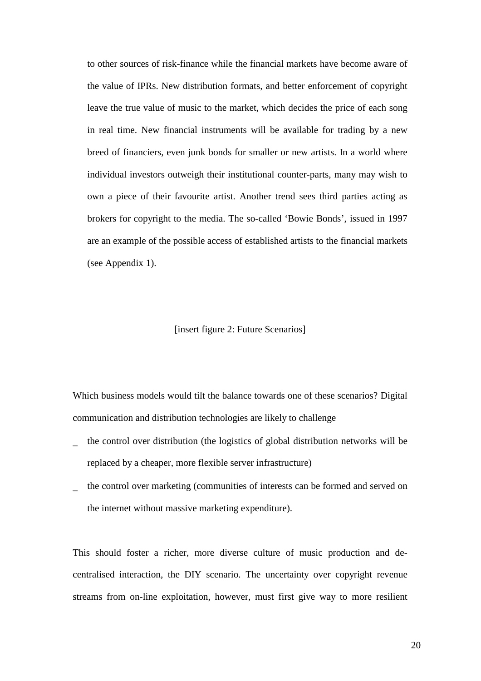to other sources of risk-finance while the financial markets have become aware of the value of IPRs. New distribution formats, and better enforcement of copyright leave the true value of music to the market, which decides the price of each song in real time. New financial instruments will be available for trading by a new breed of financiers, even junk bonds for smaller or new artists. In a world where individual investors outweigh their institutional counter-parts, many may wish to own a piece of their favourite artist. Another trend sees third parties acting as brokers for copyright to the media. The so-called 'Bowie Bonds', issued in 1997 are an example of the possible access of established artists to the financial markets (see Appendix 1).

#### [insert figure 2: Future Scenarios]

Which business models would tilt the balance towards one of these scenarios? Digital communication and distribution technologies are likely to challenge

- the control over distribution (the logistics of global distribution networks will be replaced by a cheaper, more flexible server infrastructure)
- the control over marketing (communities of interests can be formed and served on the internet without massive marketing expenditure).

This should foster a richer, more diverse culture of music production and decentralised interaction, the DIY scenario. The uncertainty over copyright revenue streams from on-line exploitation, however, must first give way to more resilient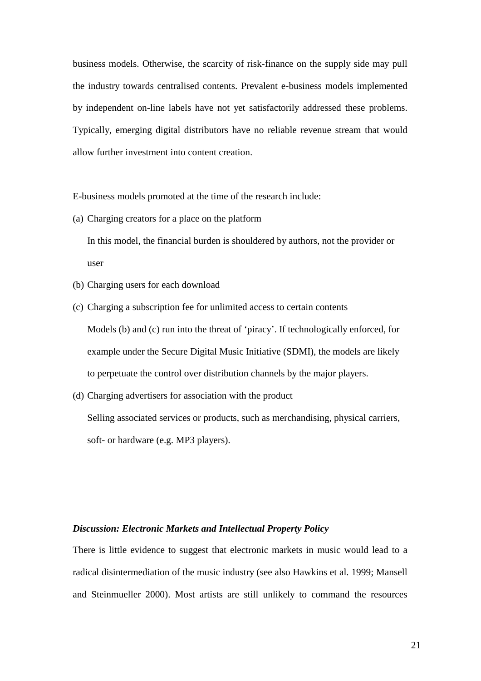business models. Otherwise, the scarcity of risk-finance on the supply side may pull the industry towards centralised contents. Prevalent e-business models implemented by independent on-line labels have not yet satisfactorily addressed these problems. Typically, emerging digital distributors have no reliable revenue stream that would allow further investment into content creation.

E-business models promoted at the time of the research include:

(a) Charging creators for a place on the platform

In this model, the financial burden is shouldered by authors, not the provider or user

- (b) Charging users for each download
- (c) Charging a subscription fee for unlimited access to certain contents Models (b) and (c) run into the threat of 'piracy'. If technologically enforced, for example under the Secure Digital Music Initiative (SDMI), the models are likely to perpetuate the control over distribution channels by the major players.
- (d) Charging advertisers for association with the product Selling associated services or products, such as merchandising, physical carriers, soft- or hardware (e.g. MP3 players).

## *Discussion: Electronic Markets and Intellectual Property Policy*

There is little evidence to suggest that electronic markets in music would lead to a radical disintermediation of the music industry (see also Hawkins et al. 1999; Mansell and Steinmueller 2000). Most artists are still unlikely to command the resources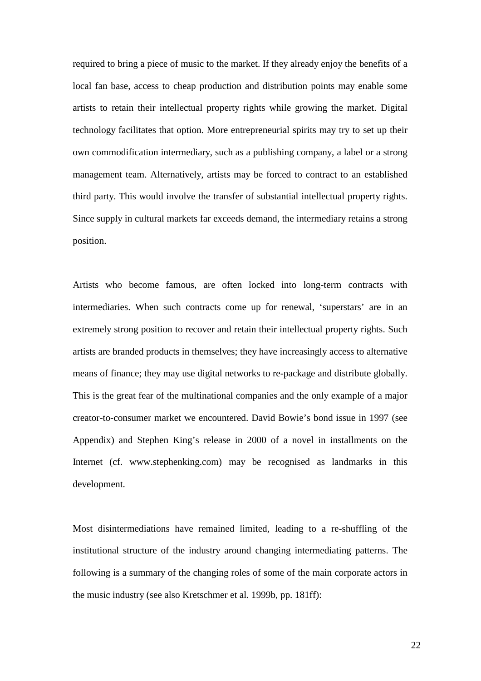required to bring a piece of music to the market. If they already enjoy the benefits of a local fan base, access to cheap production and distribution points may enable some artists to retain their intellectual property rights while growing the market. Digital technology facilitates that option. More entrepreneurial spirits may try to set up their own commodification intermediary, such as a publishing company, a label or a strong management team. Alternatively, artists may be forced to contract to an established third party. This would involve the transfer of substantial intellectual property rights. Since supply in cultural markets far exceeds demand, the intermediary retains a strong position.

Artists who become famous, are often locked into long-term contracts with intermediaries. When such contracts come up for renewal, 'superstars' are in an extremely strong position to recover and retain their intellectual property rights. Such artists are branded products in themselves; they have increasingly access to alternative means of finance; they may use digital networks to re-package and distribute globally. This is the great fear of the multinational companies and the only example of a major creator-to-consumer market we encountered. David Bowie's bond issue in 1997 (see Appendix) and Stephen King's release in 2000 of a novel in installments on the Internet (cf. www.stephenking.com) may be recognised as landmarks in this development.

Most disintermediations have remained limited, leading to a re-shuffling of the institutional structure of the industry around changing intermediating patterns. The following is a summary of the changing roles of some of the main corporate actors in the music industry (see also Kretschmer et al. 1999b, pp. 181ff):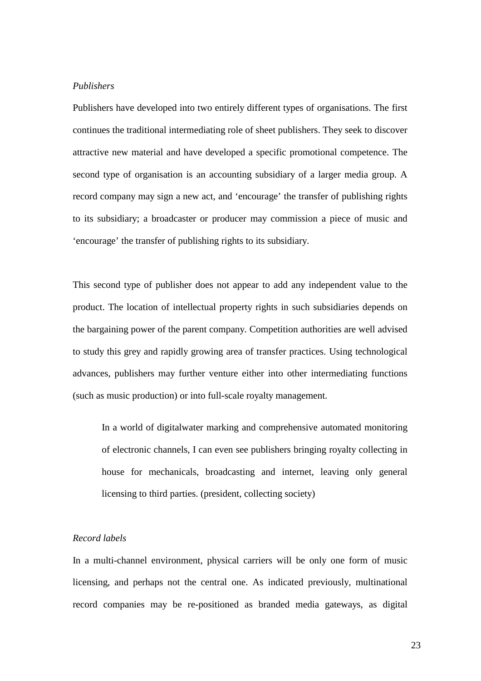## *Publishers*

Publishers have developed into two entirely different types of organisations. The first continues the traditional intermediating role of sheet publishers. They seek to discover attractive new material and have developed a specific promotional competence. The second type of organisation is an accounting subsidiary of a larger media group. A record company may sign a new act, and 'encourage' the transfer of publishing rights to its subsidiary; a broadcaster or producer may commission a piece of music and 'encourage' the transfer of publishing rights to its subsidiary.

This second type of publisher does not appear to add any independent value to the product. The location of intellectual property rights in such subsidiaries depends on the bargaining power of the parent company. Competition authorities are well advised to study this grey and rapidly growing area of transfer practices. Using technological advances, publishers may further venture either into other intermediating functions (such as music production) or into full-scale royalty management.

In a world of digitalwater marking and comprehensive automated monitoring of electronic channels, I can even see publishers bringing royalty collecting in house for mechanicals, broadcasting and internet, leaving only general licensing to third parties. (president, collecting society)

## *Record labels*

In a multi-channel environment, physical carriers will be only one form of music licensing, and perhaps not the central one. As indicated previously, multinational record companies may be re-positioned as branded media gateways, as digital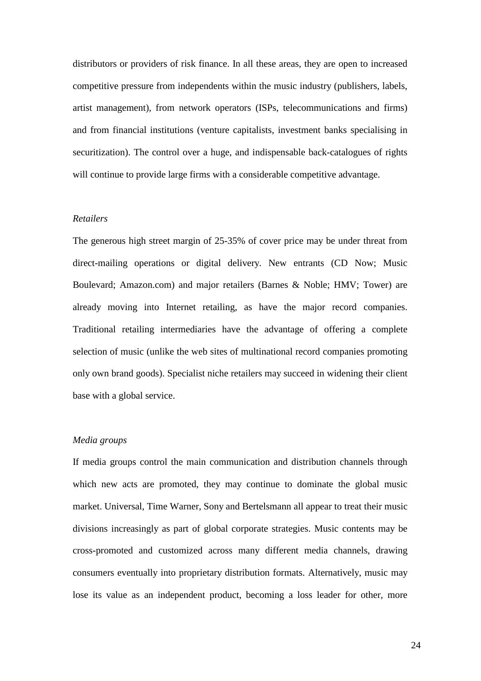distributors or providers of risk finance. In all these areas, they are open to increased competitive pressure from independents within the music industry (publishers, labels, artist management), from network operators (ISPs, telecommunications and firms) and from financial institutions (venture capitalists, investment banks specialising in securitization). The control over a huge, and indispensable back-catalogues of rights will continue to provide large firms with a considerable competitive advantage.

## *Retailers*

The generous high street margin of 25-35% of cover price may be under threat from direct-mailing operations or digital delivery. New entrants (CD Now; Music Boulevard; Amazon.com) and major retailers (Barnes & Noble; HMV; Tower) are already moving into Internet retailing, as have the major record companies. Traditional retailing intermediaries have the advantage of offering a complete selection of music (unlike the web sites of multinational record companies promoting only own brand goods). Specialist niche retailers may succeed in widening their client base with a global service.

## *Media groups*

If media groups control the main communication and distribution channels through which new acts are promoted, they may continue to dominate the global music market. Universal, Time Warner, Sony and Bertelsmann all appear to treat their music divisions increasingly as part of global corporate strategies. Music contents may be cross-promoted and customized across many different media channels, drawing consumers eventually into proprietary distribution formats. Alternatively, music may lose its value as an independent product, becoming a loss leader for other, more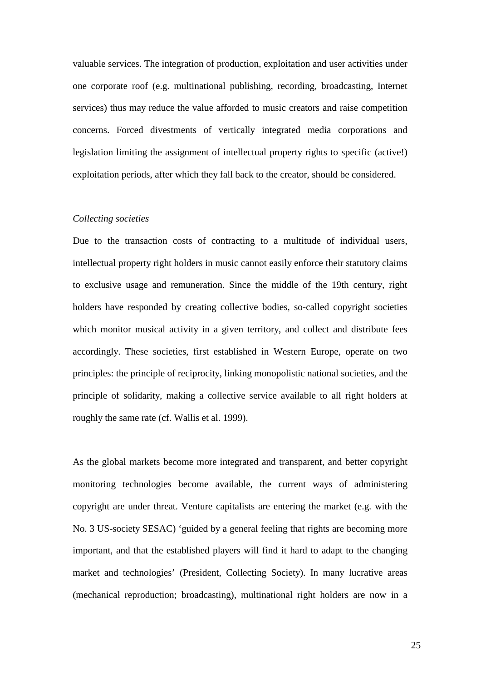valuable services. The integration of production, exploitation and user activities under one corporate roof (e.g. multinational publishing, recording, broadcasting, Internet services) thus may reduce the value afforded to music creators and raise competition concerns. Forced divestments of vertically integrated media corporations and legislation limiting the assignment of intellectual property rights to specific (active!) exploitation periods, after which they fall back to the creator, should be considered.

## *Collecting societies*

Due to the transaction costs of contracting to a multitude of individual users, intellectual property right holders in music cannot easily enforce their statutory claims to exclusive usage and remuneration. Since the middle of the 19th century, right holders have responded by creating collective bodies, so-called copyright societies which monitor musical activity in a given territory, and collect and distribute fees accordingly. These societies, first established in Western Europe, operate on two principles: the principle of reciprocity, linking monopolistic national societies, and the principle of solidarity, making a collective service available to all right holders at roughly the same rate (cf. Wallis et al. 1999).

As the global markets become more integrated and transparent, and better copyright monitoring technologies become available, the current ways of administering copyright are under threat. Venture capitalists are entering the market (e.g. with the No. 3 US-society SESAC) 'guided by a general feeling that rights are becoming more important, and that the established players will find it hard to adapt to the changing market and technologies' (President, Collecting Society). In many lucrative areas (mechanical reproduction; broadcasting), multinational right holders are now in a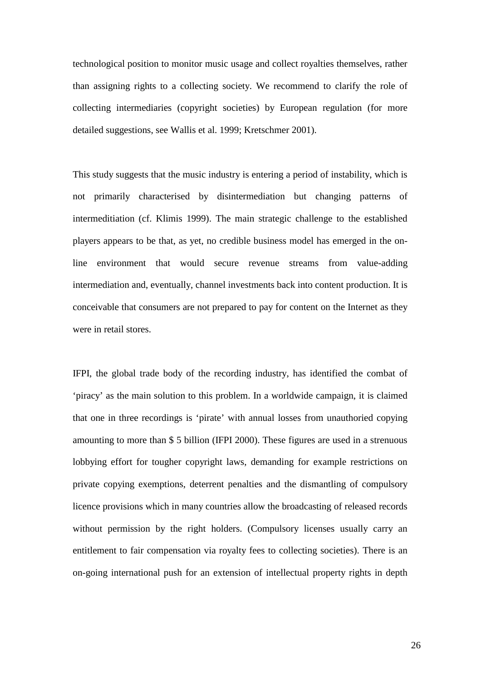technological position to monitor music usage and collect royalties themselves, rather than assigning rights to a collecting society. We recommend to clarify the role of collecting intermediaries (copyright societies) by European regulation (for more detailed suggestions, see Wallis et al. 1999; Kretschmer 2001).

This study suggests that the music industry is entering a period of instability, which is not primarily characterised by disintermediation but changing patterns of intermeditiation (cf. Klimis 1999). The main strategic challenge to the established players appears to be that, as yet, no credible business model has emerged in the online environment that would secure revenue streams from value-adding intermediation and, eventually, channel investments back into content production. It is conceivable that consumers are not prepared to pay for content on the Internet as they were in retail stores.

IFPI, the global trade body of the recording industry, has identified the combat of 'piracy' as the main solution to this problem. In a worldwide campaign, it is claimed that one in three recordings is 'pirate' with annual losses from unauthoried copying amounting to more than \$ 5 billion (IFPI 2000). These figures are used in a strenuous lobbying effort for tougher copyright laws, demanding for example restrictions on private copying exemptions, deterrent penalties and the dismantling of compulsory licence provisions which in many countries allow the broadcasting of released records without permission by the right holders. (Compulsory licenses usually carry an entitlement to fair compensation via royalty fees to collecting societies). There is an on-going international push for an extension of intellectual property rights in depth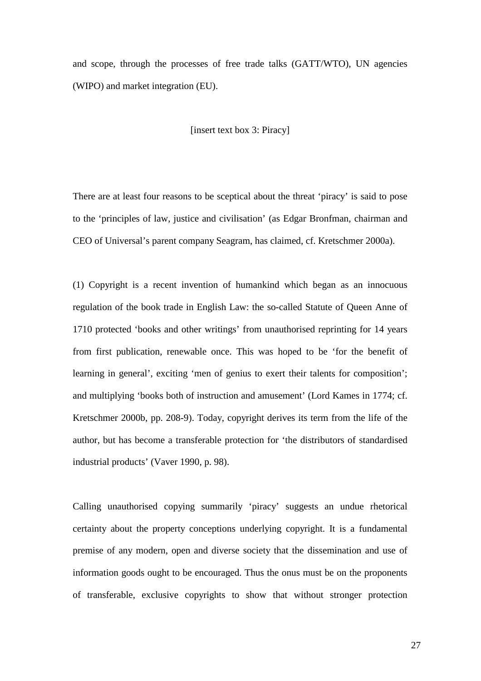and scope, through the processes of free trade talks (GATT/WTO), UN agencies (WIPO) and market integration (EU).

## [insert text box 3: Piracy]

There are at least four reasons to be sceptical about the threat 'piracy' is said to pose to the 'principles of law, justice and civilisation' (as Edgar Bronfman, chairman and CEO of Universal's parent company Seagram, has claimed, cf. Kretschmer 2000a).

(1) Copyright is a recent invention of humankind which began as an innocuous regulation of the book trade in English Law: the so-called Statute of Queen Anne of 1710 protected 'books and other writings' from unauthorised reprinting for 14 years from first publication, renewable once. This was hoped to be 'for the benefit of learning in general', exciting 'men of genius to exert their talents for composition'; and multiplying 'books both of instruction and amusement' (Lord Kames in 1774; cf. Kretschmer 2000b, pp. 208-9). Today, copyright derives its term from the life of the author, but has become a transferable protection for 'the distributors of standardised industrial products' (Vaver 1990, p. 98).

Calling unauthorised copying summarily 'piracy' suggests an undue rhetorical certainty about the property conceptions underlying copyright. It is a fundamental premise of any modern, open and diverse society that the dissemination and use of information goods ought to be encouraged. Thus the onus must be on the proponents of transferable, exclusive copyrights to show that without stronger protection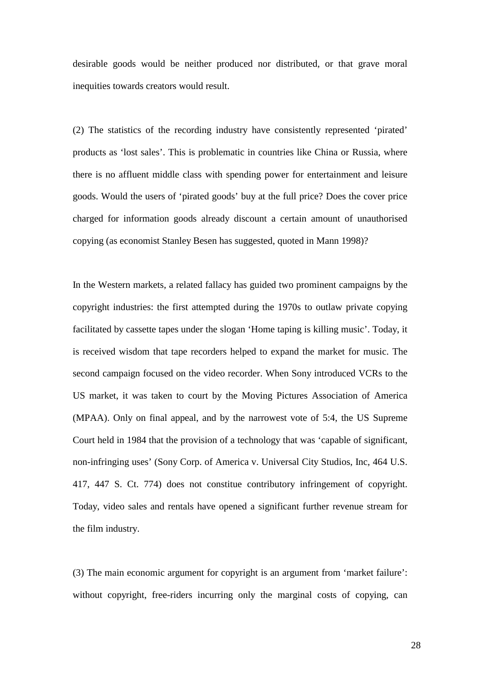desirable goods would be neither produced nor distributed, or that grave moral inequities towards creators would result.

(2) The statistics of the recording industry have consistently represented 'pirated' products as 'lost sales'. This is problematic in countries like China or Russia, where there is no affluent middle class with spending power for entertainment and leisure goods. Would the users of 'pirated goods' buy at the full price? Does the cover price charged for information goods already discount a certain amount of unauthorised copying (as economist Stanley Besen has suggested, quoted in Mann 1998)?

In the Western markets, a related fallacy has guided two prominent campaigns by the copyright industries: the first attempted during the 1970s to outlaw private copying facilitated by cassette tapes under the slogan 'Home taping is killing music'. Today, it is received wisdom that tape recorders helped to expand the market for music. The second campaign focused on the video recorder. When Sony introduced VCRs to the US market, it was taken to court by the Moving Pictures Association of America (MPAA). Only on final appeal, and by the narrowest vote of 5:4, the US Supreme Court held in 1984 that the provision of a technology that was 'capable of significant, non-infringing uses' (Sony Corp. of America v. Universal City Studios, Inc, 464 U.S. 417, 447 S. Ct. 774) does not constitue contributory infringement of copyright. Today, video sales and rentals have opened a significant further revenue stream for the film industry.

(3) The main economic argument for copyright is an argument from 'market failure': without copyright, free-riders incurring only the marginal costs of copying, can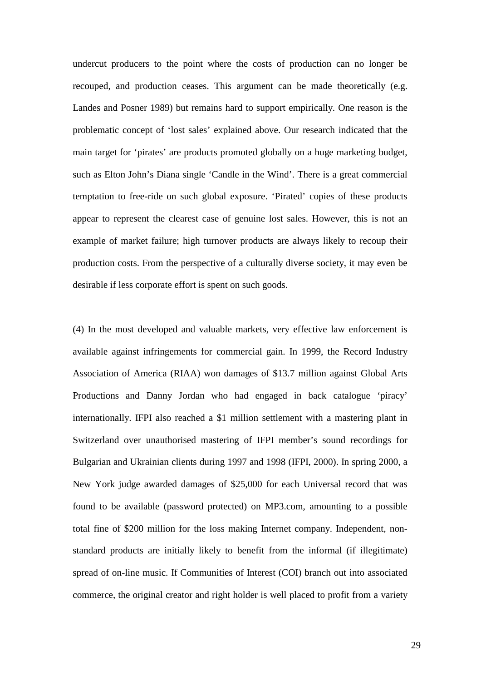undercut producers to the point where the costs of production can no longer be recouped, and production ceases. This argument can be made theoretically (e.g. Landes and Posner 1989) but remains hard to support empirically. One reason is the problematic concept of 'lost sales' explained above. Our research indicated that the main target for 'pirates' are products promoted globally on a huge marketing budget, such as Elton John's Diana single 'Candle in the Wind'. There is a great commercial temptation to free-ride on such global exposure. 'Pirated' copies of these products appear to represent the clearest case of genuine lost sales. However, this is not an example of market failure; high turnover products are always likely to recoup their production costs. From the perspective of a culturally diverse society, it may even be desirable if less corporate effort is spent on such goods.

(4) In the most developed and valuable markets, very effective law enforcement is available against infringements for commercial gain. In 1999, the Record Industry Association of America (RIAA) won damages of \$13.7 million against Global Arts Productions and Danny Jordan who had engaged in back catalogue 'piracy' internationally. IFPI also reached a \$1 million settlement with a mastering plant in Switzerland over unauthorised mastering of IFPI member's sound recordings for Bulgarian and Ukrainian clients during 1997 and 1998 (IFPI, 2000). In spring 2000, a New York judge awarded damages of \$25,000 for each Universal record that was found to be available (password protected) on MP3.com, amounting to a possible total fine of \$200 million for the loss making Internet company. Independent, nonstandard products are initially likely to benefit from the informal (if illegitimate) spread of on-line music. If Communities of Interest (COI) branch out into associated commerce, the original creator and right holder is well placed to profit from a variety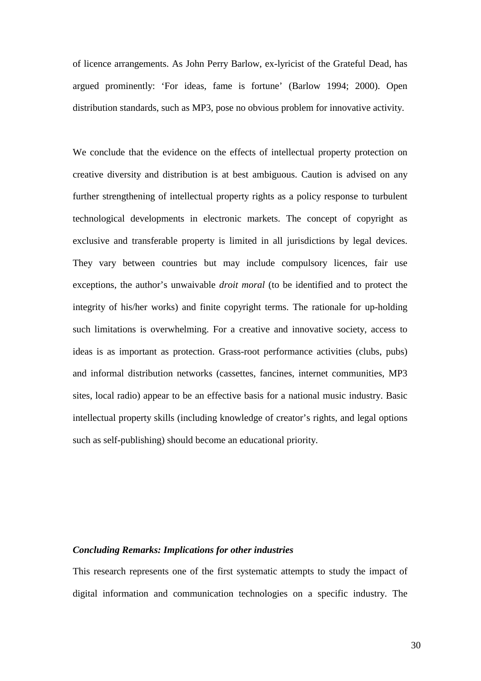of licence arrangements. As John Perry Barlow, ex-lyricist of the Grateful Dead, has argued prominently: 'For ideas, fame is fortune' (Barlow 1994; 2000). Open distribution standards, such as MP3, pose no obvious problem for innovative activity.

We conclude that the evidence on the effects of intellectual property protection on creative diversity and distribution is at best ambiguous. Caution is advised on any further strengthening of intellectual property rights as a policy response to turbulent technological developments in electronic markets. The concept of copyright as exclusive and transferable property is limited in all jurisdictions by legal devices. They vary between countries but may include compulsory licences, fair use exceptions, the author's unwaivable *droit moral* (to be identified and to protect the integrity of his/her works) and finite copyright terms. The rationale for up-holding such limitations is overwhelming. For a creative and innovative society, access to ideas is as important as protection. Grass-root performance activities (clubs, pubs) and informal distribution networks (cassettes, fancines, internet communities, MP3 sites, local radio) appear to be an effective basis for a national music industry. Basic intellectual property skills (including knowledge of creator's rights, and legal options such as self-publishing) should become an educational priority.

## *Concluding Remarks: Implications for other industries*

This research represents one of the first systematic attempts to study the impact of digital information and communication technologies on a specific industry. The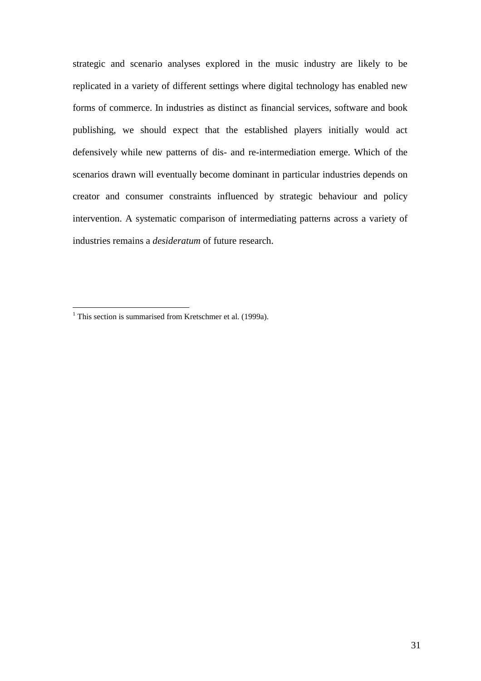strategic and scenario analyses explored in the music industry are likely to be replicated in a variety of different settings where digital technology has enabled new forms of commerce. In industries as distinct as financial services, software and book publishing, we should expect that the established players initially would act defensively while new patterns of dis- and re-intermediation emerge. Which of the scenarios drawn will eventually become dominant in particular industries depends on creator and consumer constraints influenced by strategic behaviour and policy intervention. A systematic comparison of intermediating patterns across a variety of industries remains a *desideratum* of future research.

 $\overline{a}$ 

<sup>&</sup>lt;sup>1</sup> This section is summarised from Kretschmer et al.  $(1999a)$ .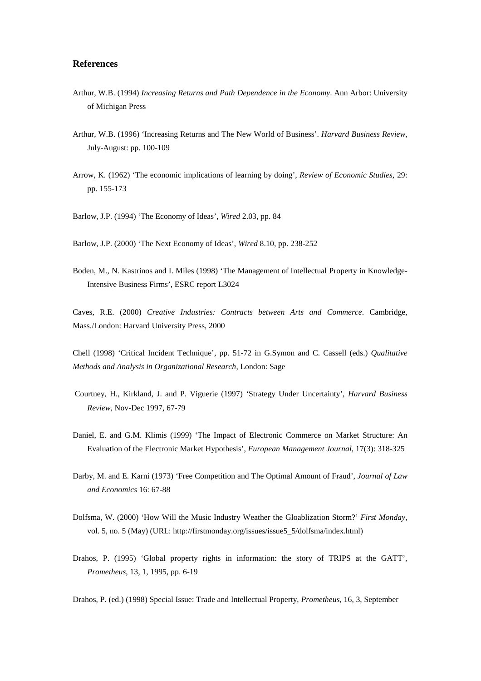### <span id="page-31-0"></span>**References**

- Arthur, W.B. (1994) *Increasing Returns and Path Dependence in the Economy*. Ann Arbor: University of Michigan Press
- Arthur, W.B. (1996) 'Increasing Returns and The New World of Business'. *Harvard Business Review*, July-August: pp. 100-109
- Arrow, K. (1962) 'The economic implications of learning by doing', *Review of Economic Studies*, 29: pp. 155-173
- Barlow, J.P. (1994) 'The Economy of Ideas', *Wired* 2.03, pp. 84
- Barlow, J.P. (2000) 'The Next Economy of Ideas', *Wired* 8.10, pp. 238-252
- Boden, M., N. Kastrinos and I. Miles (1998) 'The Management of Intellectual Property in Knowledge-Intensive Business Firms', ESRC report L3024

Caves, R.E. (2000) *Creative Industries: Contracts between Arts and Commerce*. Cambridge, Mass./London: Harvard University Press, 2000

Chell (1998) 'Critical Incident Technique', pp. 51-72 in G.Symon and C. Cassell (eds.) *Qualitative Methods and Analysis in Organizational Research*, London: Sage

- Courtney, H., Kirkland, J. and P. Viguerie (1997) 'Strategy Under Uncertainty', *Harvard Business Review,* Nov-Dec 1997, 67-79
- Daniel, E. and G.M. Klimis (1999) 'The Impact of Electronic Commerce on Market Structure: An Evaluation of the Electronic Market Hypothesis', *European Management Journal*, 17(3): 318-325
- Darby, M. and E. Karni (1973) 'Free Competition and The Optimal Amount of Fraud', *Journal of Law and Economics* 16: 67-88
- Dolfsma, W. (2000) 'How Will the Music Industry Weather the Gloablization Storm?' *First Monday*, vol. 5, no. 5 (May) (URL: http://firstmonday.org/issues/issue5\_5/dolfsma/index.html)
- Drahos, P. (1995) 'Global property rights in information: the story of TRIPS at the GATT', *Prometheus*, 13, 1, 1995, pp. 6-19

Drahos, P. (ed.) (1998) Special Issue: Trade and Intellectual Property, *Prometheus*, 16, 3, September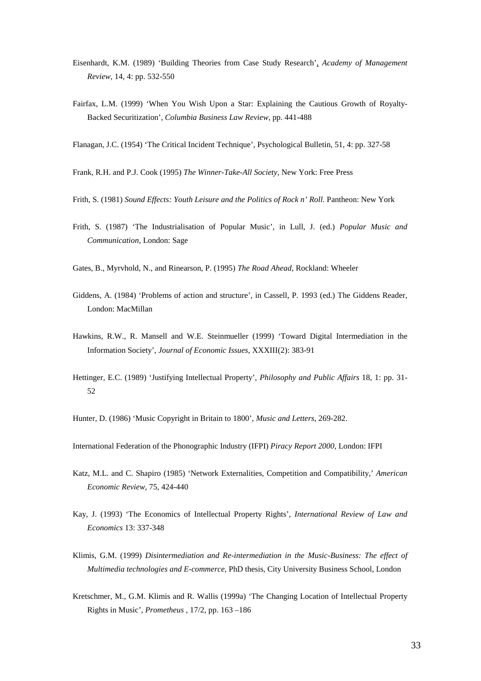- Eisenhardt, K.M. (1989) 'Building Theories from Case Study Research', *Academy of Management Review*, 14, 4: pp. 532-550
- Fairfax, L.M. (1999) 'When You Wish Upon a Star: Explaining the Cautious Growth of Royalty-Backed Securitization', *Columbia Business Law Review*, pp. 441-488

Flanagan, J.C. (1954) 'The Critical Incident Technique', Psychological Bulletin, 51, 4: pp. 327-58

- Frank, R.H. and P.J. Cook (1995) *The Winner-Take-All Society*, New York: Free Press
- Frith, S. (1981) Sound Effects: Youth Leisure and the Politics of Rock n' Roll. Pantheon: New York
- Frith, S. (1987) 'The Industrialisation of Popular Music', in Lull, J. (ed.) *Popular Music and Communication*, London: Sage
- Gates, B., Myrvhold, N., and Rinearson, P. (1995) *The Road Ahead*, Rockland: Wheeler
- Giddens, A. (1984) 'Problems of action and structure', in Cassell, P. 1993 (ed.) The Giddens Reader, London: MacMillan
- Hawkins, R.W., R. Mansell and W.E. Steinmueller (1999) 'Toward Digital Intermediation in the Information Society', *Journal of Economic Issues*, XXXIII(2): 383-91
- Hettinger, E.C. (1989) 'Justifying Intellectual Property', *Philosophy and Public Affairs* 18, 1: pp. 31- 52

Hunter, D. (1986) 'Music Copyright in Britain to 1800', *Music and Letters*, 269-282.

International Federation of the Phonographic Industry (IFPI) *Piracy Report 2000*, London: IFPI

- Katz, M.L. and C. Shapiro (1985) 'Network Externalities, Competition and Compatibility,' *American Economic Review*, 75, 424-440
- Kay, J. (1993) 'The Economics of Intellectual Property Rights', *International Review of Law and Economics* 13: 337-348
- Klimis, G.M. (1999) *Disintermediation and Re-intermediation in the Music-Business: The effect of Multimedia technologies and E-commerce*, PhD thesis, City University Business School, London
- Kretschmer, M., G.M. Klimis and R. Wallis (1999a) 'The Changing Location of Intellectual Property Rights in Music', *Prometheus* , 17/2, pp. 163 –186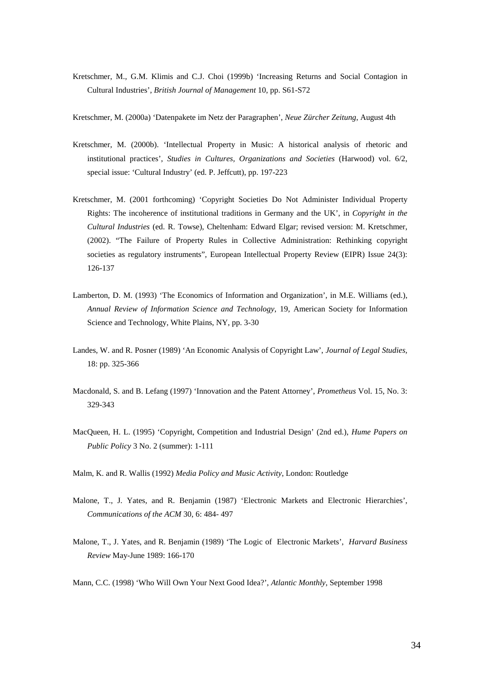Kretschmer, M., G.M. Klimis and C.J. Choi (1999b) 'Increasing Returns and Social Contagion in Cultural Industries', *British Journal of Management* 10, pp. S61-S72

Kretschmer, M. (2000a) 'Datenpakete im Netz der Paragraphen', *Neue Zürcher Zeitung*, August 4th

- Kretschmer, M. (2000b). 'Intellectual Property in Music: A historical analysis of rhetoric and institutional practices', *Studies in Cultures, Organizations and Societies* (Harwood) vol. 6/2, special issue: 'Cultural Industry' (ed. P. Jeffcutt), pp. 197-223
- Kretschmer, M. (2001 forthcoming) 'Copyright Societies Do Not Administer Individual Property Rights: The incoherence of institutional traditions in Germany and the UK', in *Copyright in the Cultural Industries* (ed. R. Towse), Cheltenham: Edward Elgar; revised version: M. Kretschmer, (2002). "The Failure of Property Rules in Collective Administration: Rethinking copyright societies as regulatory instruments", European Intellectual Property Review (EIPR) Issue 24(3): 126-137
- Lamberton, D. M. (1993) 'The Economics of Information and Organization', in M.E. Williams (ed.), *Annual Review of Information Science and Technology*, 19, American Society for Information Science and Technology, White Plains, NY, pp. 3-30
- Landes, W. and R. Posner (1989) 'An Economic Analysis of Copyright Law', *Journal of Legal Studies,* 18: pp. 325-366
- Macdonald, S. and B. Lefang (1997) 'Innovation and the Patent Attorney', *Prometheus* Vol. 15, No. 3: 329-343
- MacQueen, H. L. (1995) 'Copyright, Competition and Industrial Design' (2nd ed.), *Hume Papers on Public Policy* 3 No. 2 (summer): 1-111

Malm, K. and R. Wallis (1992) *Media Policy and Music Activity*, London: Routledge

- Malone, T., J. Yates, and R. Benjamin (1987) 'Electronic Markets and Electronic Hierarchies', *Communications of the ACM* 30, 6: 484- 497
- Malone, T., J. Yates, and R. Benjamin (1989) 'The Logic of Electronic Markets', *Harvard Business Review* May-June 1989: 166-170

Mann, C.C. (1998) 'Who Will Own Your Next Good Idea?', *Atlantic Monthly*, September 1998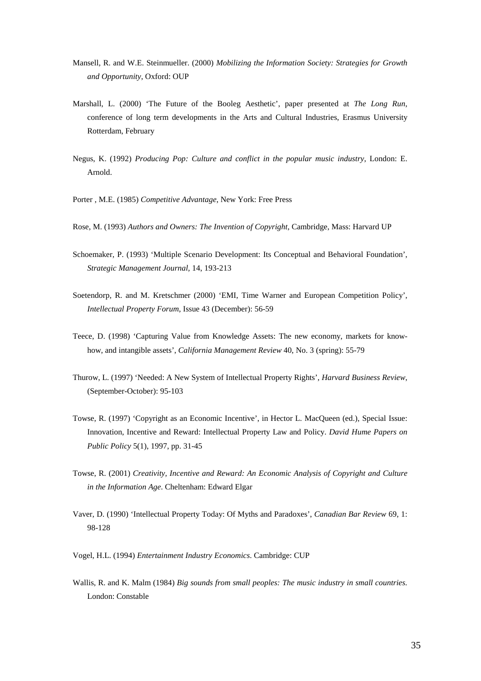- Mansell, R. and W.E. Steinmueller. (2000) *Mobilizing the Information Society: Strategies for Growth and Opportunity*, Oxford: OUP
- Marshall, L. (2000) 'The Future of the Booleg Aesthetic', paper presented at *The Long Run*, conference of long term developments in the Arts and Cultural Industries, Erasmus University Rotterdam, February
- Negus, K. (1992) *Producing Pop: Culture and conflict in the popular music industry*, London: E. Arnold.
- Porter , M.E. (1985) *Competitive Advantage*, New York: Free Press
- Rose, M. (1993) *Authors and Owners: The Invention of Copyright*, Cambridge, Mass: Harvard UP
- Schoemaker, P. (1993) 'Multiple Scenario Development: Its Conceptual and Behavioral Foundation', *Strategic Management Journal,* 14, 193-213
- Soetendorp, R. and M. Kretschmer (2000) 'EMI, Time Warner and European Competition Policy', *Intellectual Property Forum*, Issue 43 (December): 56-59
- Teece, D. (1998) 'Capturing Value from Knowledge Assets: The new economy, markets for knowhow, and intangible assets', *California Management Review* 40, No. 3 (spring): 55-79
- Thurow, L. (1997) 'Needed: A New System of Intellectual Property Rights', *Harvard Business Review*, (September-October): 95-103
- Towse, R. (1997) 'Copyright as an Economic Incentive', in Hector L. MacQueen (ed.), Special Issue: Innovation, Incentive and Reward: Intellectual Property Law and Policy. *David Hume Papers on Public Policy* 5(1), 1997, pp. 31-45
- Towse, R. (2001) *Creativity, Incentive and Reward: An Economic Analysis of Copyright and Culture in the Information Age*. Cheltenham: Edward Elgar
- Vaver, D. (1990) 'Intellectual Property Today: Of Myths and Paradoxes', *Canadian Bar Review* 69, 1: 98-128
- Vogel, H.L. (1994) *Entertainment Industry Economics*. Cambridge: CUP
- Wallis, R. and K. Malm (1984) *Big sounds from small peoples: The music industry in small countries.* London: Constable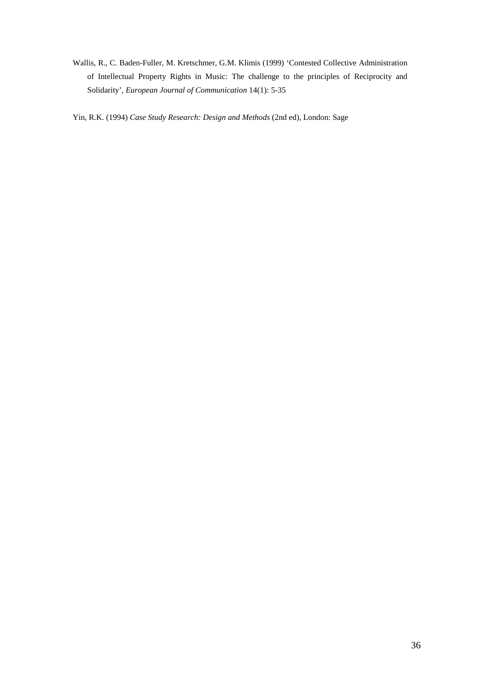Wallis, R., C. Baden-Fuller, M. Kretschmer, G.M. Klimis (1999) 'Contested Collective Administration of Intellectual Property Rights in Music: The challenge to the principles of Reciprocity and Solidarity', *European Journal of Communication* 14(1): 5-35

Yin, R.K. (1994) *Case Study Research: Design and Methods* (2nd ed), London: Sage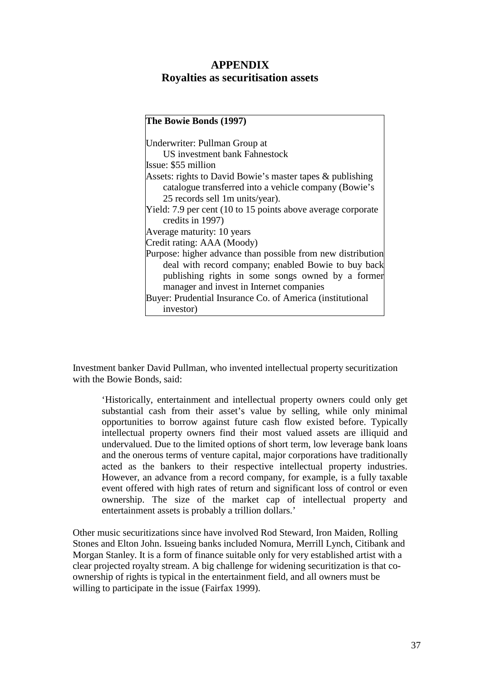# **APPENDIX Royalties as securitisation assets**

## **The Bowie Bonds (1997)** Underwriter: Pullman Group at US investment bank Fahnestock Issue: \$55 million Assets: rights to David Bowie's master tapes & publishing catalogue transferred into a vehicle company (Bowie's 25 records sell 1m units/year). Yield: 7.9 per cent (10 to 15 points above average corporate credits in 1997) Average maturity: 10 years Credit rating: AAA (Moody) Purpose: higher advance than possible from new distribution deal with record company; enabled Bowie to buy back publishing rights in some songs owned by a former manager and invest in Internet companies Buyer: Prudential Insurance Co. of America (institutional investor)

Investment banker David Pullman, who invented intellectual property securitization with the Bowie Bonds, said:

'Historically, entertainment and intellectual property owners could only get substantial cash from their asset's value by selling, while only minimal opportunities to borrow against future cash flow existed before. Typically intellectual property owners find their most valued assets are illiquid and undervalued. Due to the limited options of short term, low leverage bank loans and the onerous terms of venture capital, major corporations have traditionally acted as the bankers to their respective intellectual property industries. However, an advance from a record company, for example, is a fully taxable event offered with high rates of return and significant loss of control or even ownership. The size of the market cap of intellectual property and entertainment assets is probably a trillion dollars.'

Other music securitizations since have involved Rod Steward, Iron Maiden, Rolling Stones and Elton John. Issueing banks included Nomura, Merrill Lynch, Citibank and Morgan Stanley. It is a form of finance suitable only for very established artist with a clear projected royalty stream. A big challenge for widening securitization is that coownership of rights is typical in the entertainment field, and all owners must be willing to participate in the issue (Fairfax 1999).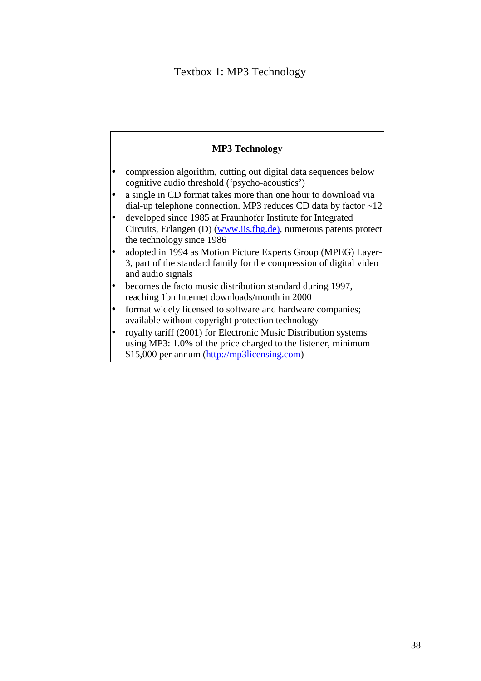# Textbox 1: MP3 Technology

# **MP3 Technology** • compression algorithm, cutting out digital data sequences below cognitive audio threshold ('psycho-acoustics') • a single in CD format takes more than one hour to download via dial-up telephone connection. MP3 reduces CD data by factor  $\sim$ 12 developed since 1985 at Fraunhofer Institute for Integrated Circuits, Erlangen (D) (www.iis.fhg.de), numerous patents protect the technology since 1986 • adopted in 1994 as Motion Picture Experts Group (MPEG) Layer-3, part of the standard family for the compression of digital video and audio signals • becomes de facto music distribution standard during 1997, reaching 1bn Internet downloads/month in 2000 format widely licensed to software and hardware companies; available without copyright protection technology • royalty tariff (2001) for Electronic Music Distribution systems using MP3: 1.0% of the price charged to the listener, minimum

\$15,000 per annum (http://mp3licensing.com)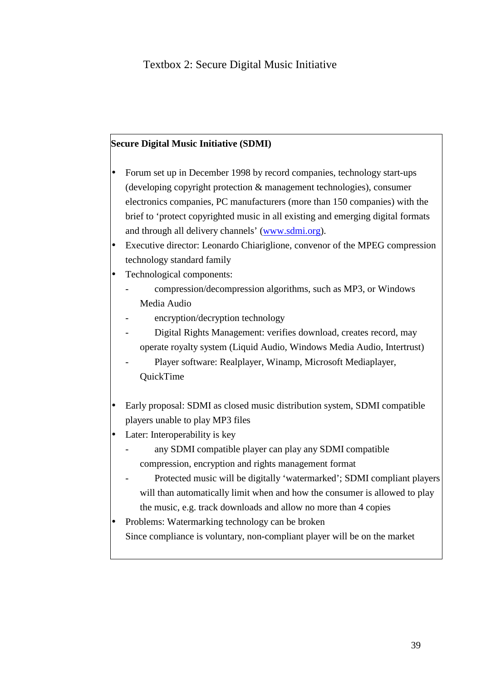## **Secure Digital Music Initiative (SDMI)**

- Forum set up in December 1998 by record companies, technology start-ups (developing copyright protection & management technologies), consumer electronics companies, PC manufacturers (more than 150 companies) with the brief to 'protect copyrighted music in all existing and emerging digital formats and through all delivery channels' (www.sdmi.org).
- Executive director: Leonardo Chiariglione, convenor of the MPEG compression technology standard family
- Technological components:
	- compression/decompression algorithms, such as MP3, or Windows Media Audio
	- encryption/decryption technology
	- Digital Rights Management: verifies download, creates record, may operate royalty system (Liquid Audio, Windows Media Audio, Intertrust)
	- Player software: Realplayer, Winamp, Microsoft Mediaplayer, QuickTime
- Early proposal: SDMI as closed music distribution system, SDMI compatible players unable to play MP3 files
- Later: Interoperability is key
	- any SDMI compatible player can play any SDMI compatible compression, encryption and rights management format
	- Protected music will be digitally 'watermarked'; SDMI compliant players will than automatically limit when and how the consumer is allowed to play the music, e.g. track downloads and allow no more than 4 copies
- Problems: Watermarking technology can be broken Since compliance is voluntary, non-compliant player will be on the market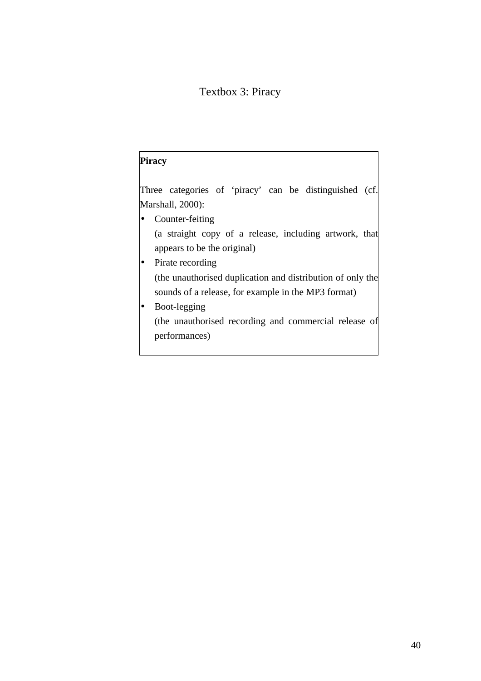# Textbox 3: Piracy

# **Piracy** Three categories of 'piracy' can be distinguished (cf. Marshall, 2000): • Counter-feiting (a straight copy of a release, including artwork, that appears to be the original) • Pirate recording (the unauthorised duplication and distribution of only the sounds of a release, for example in the MP3 format) • Boot-legging (the unauthorised recording and commercial release of performances)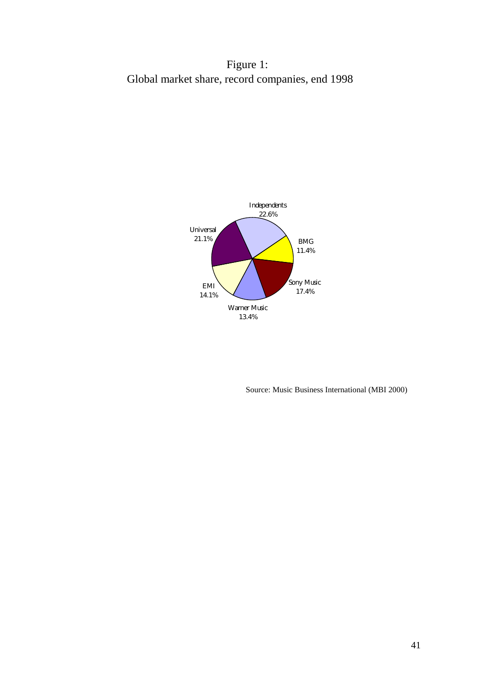Figure 1: Global market share, record companies, end 1998



Source: Music Business International (MBI 2000)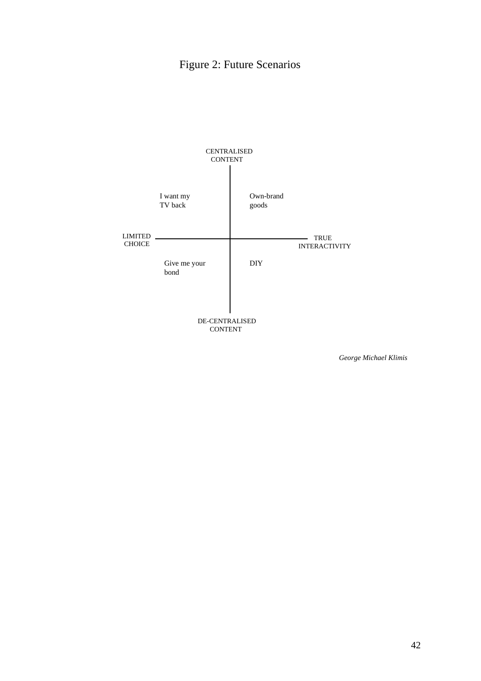# Figure 2: Future Scenarios



 *George Michael Klimis*